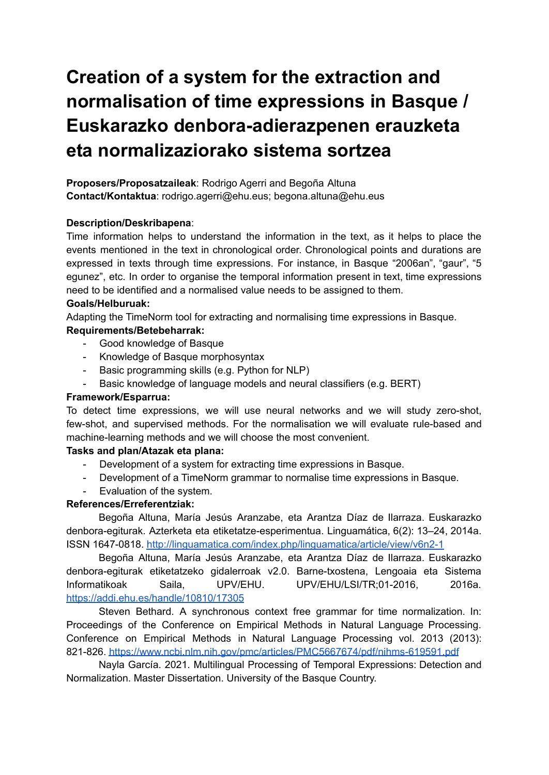# **Creation of a system for the extraction and normalisation of time expressions in Basque / Euskarazko denbora-adierazpenen erauzketa eta normalizaziorako sistema sortzea**

**Proposers/Proposatzaileak**: Rodrigo Agerri and Begoña Altuna **Contact/Kontaktua**: rodrigo.agerri@ehu.eus; begona.altuna@ehu.eus

# **Description/Deskribapena**:

Time information helps to understand the information in the text, as it helps to place the events mentioned in the text in chronological order. Chronological points and durations are expressed in texts through time expressions. For instance, in Basque "2006an", "gaur", "5 egunez", etc. In order to organise the temporal information present in text, time expressions need to be identified and a normalised value needs to be assigned to them.

# **Goals/Helburuak:**

Adapting the TimeNorm tool for extracting and normalising time expressions in Basque.

# **Requirements/Betebeharrak:**

- Good knowledge of Basque
- Knowledge of Basque morphosyntax
- Basic programming skills (e.g. Python for NLP)
- Basic knowledge of language models and neural classifiers (e.g. BERT)

# **Framework/Esparrua:**

To detect time expressions, we will use neural networks and we will study zero-shot, few-shot, and supervised methods. For the normalisation we will evaluate rule-based and machine-learning methods and we will choose the most convenient.

# **Tasks and plan/Atazak eta plana:**

- Development of a system for extracting time expressions in Basque.
- Development of a TimeNorm grammar to normalise time expressions in Basque.
- Evaluation of the system.

# **References/Erreferentziak:**

Begoña Altuna, María Jesús Aranzabe, eta Arantza Díaz de Ilarraza. Euskarazko denbora-egiturak. Azterketa eta etiketatze-esperimentua. Linguamática, 6(2): 13–24, 2014a. ISSN 1647-0818. <http://linguamatica.com/index.php/linguamatica/article/view/v6n2-1>

Begoña Altuna, María Jesús Aranzabe, eta Arantza Díaz de Ilarraza. Euskarazko denbora-egiturak etiketatzeko gidalerroak v2.0. Barne-txostena, Lengoaia eta Sistema Informatikoak Saila, UPV/EHU. UPV/EHU/LSI/TR;01-2016, 2016a. <https://addi.ehu.es/handle/10810/17305>

Steven Bethard. A synchronous context free grammar for time normalization. In: Proceedings of the Conference on Empirical Methods in Natural Language Processing. Conference on Empirical Methods in Natural Language Processing vol. 2013 (2013): 821-826. <https://www.ncbi.nlm.nih.gov/pmc/articles/PMC5667674/pdf/nihms-619591.pdf>

Nayla García. 2021. Multilingual Processing of Temporal Expressions: Detection and Normalization. Master Dissertation. University of the Basque Country.